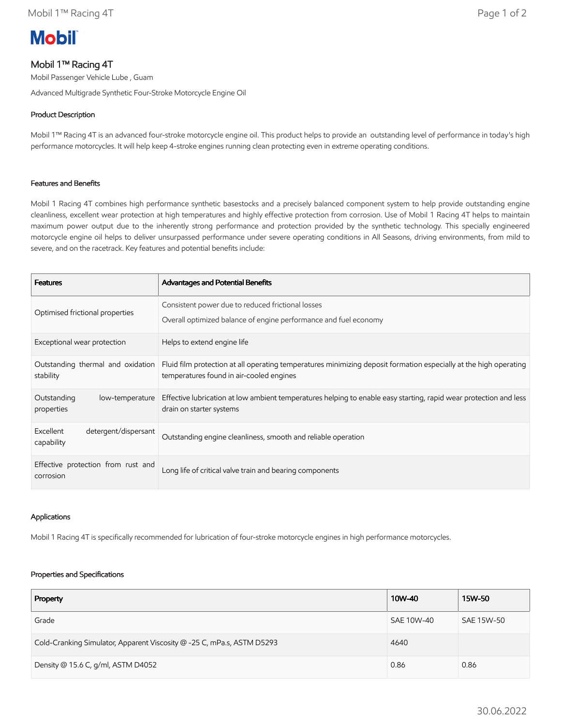# **Mobil**

## Mobil 1™ Racing 4T

Mobil Passenger Vehicle Lube , Guam

Advanced Multigrade Synthetic Four-Stroke Motorcycle Engine Oil

### Product Description

Mobil 1™ Racing 4T is an advanced four-stroke motorcycle engine oil. This product helps to provide an outstanding level of performance in today's high performance motorcycles. It will help keep 4-stroke engines running clean protecting even in extreme operating conditions.

#### Features and Benefits

Mobil 1 Racing 4T combines high performance synthetic basestocks and a precisely balanced component system to help provide outstanding engine cleanliness, excellent wear protection at high temperatures and highly effective protection from corrosion. Use of Mobil 1 Racing 4T helps to maintain maximum power output due to the inherently strong performance and protection provided by the synthetic technology. This specially engineered motorcycle engine oil helps to deliver unsurpassed performance under severe operating conditions in All Seasons, driving environments, from mild to severe, and on the racetrack. Key features and potential benefits include:

| <b>Features</b>                                 | Advantages and Potential Benefits                                                                                                                             |
|-------------------------------------------------|---------------------------------------------------------------------------------------------------------------------------------------------------------------|
| Optimised frictional properties                 | Consistent power due to reduced frictional losses<br>Overall optimized balance of engine performance and fuel economy                                         |
| Exceptional wear protection                     | Helps to extend engine life                                                                                                                                   |
| Outstanding thermal and oxidation<br>stability  | Fluid film protection at all operating temperatures minimizing deposit formation especially at the high operating<br>temperatures found in air-cooled engines |
| Outstanding<br>low-temperature<br>properties    | Effective lubrication at low ambient temperatures helping to enable easy starting, rapid wear protection and less<br>drain on starter systems                 |
| Excellent<br>detergent/dispersant<br>capability | Outstanding engine cleanliness, smooth and reliable operation                                                                                                 |
| Effective protection from rust and<br>corrosion | Long life of critical valve train and bearing components                                                                                                      |

#### Applications

Mobil 1 Racing 4T is specifically recommended for lubrication of four-stroke motorcycle engines in high performance motorcycles.

#### Properties and Specifications

| Property                                                               | 10W-40     | 15W-50     |
|------------------------------------------------------------------------|------------|------------|
| Grade                                                                  | SAE 10W-40 | SAE 15W-50 |
| Cold-Cranking Simulator, Apparent Viscosity @ -25 C, mPa.s, ASTM D5293 | 4640       |            |
| Density @ 15.6 C, g/ml, ASTM D4052                                     | 0.86       | 0.86       |